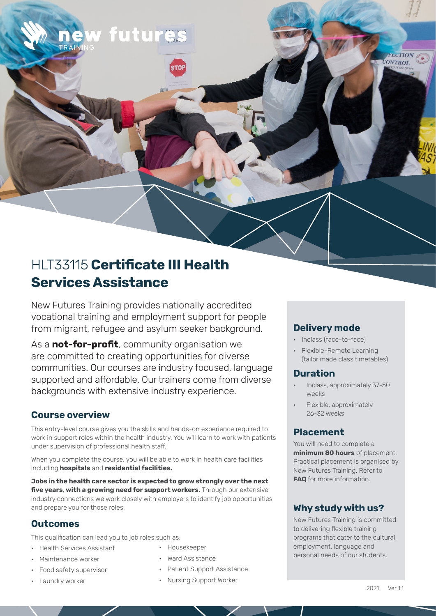# HLT33115 **Certificate III Health Services Assistance**

w futures

New Futures Training provides nationally accredited vocational training and employment support for people from migrant, refugee and asylum seeker background.

As a **not-for-profit**, community organisation we are committed to creating opportunities for diverse communities. Our courses are industry focused, language supported and affordable. Our trainers come from diverse backgrounds with extensive industry experience.

# **Course overview**

This entry-level course gives you the skills and hands-on experience required to work in support roles within the health industry. You will learn to work with patients under supervision of professional health staff.

When you complete the course, you will be able to work in health care facilities including **hospitals** and **residential facilities.** 

**Jobs in the health care sector is expected to grow strongly over the next five years, with a growing need for support workers.** Through our extensive industry connections we work closely with employers to identify job opportunities and prepare you for those roles.

### **Outcomes**

This qualification can lead you to job roles such as:

- Health Services Assistant
- Maintenance worker
- Food safety supervisor
- Laundry worker
- Housekeeper
- Ward Assistance
- Patient Support Assistance
- Nursing Support Worker

# **Delivery mode**

- Inclass (face-to-face)
- Flexible-Remote Learning (tailor made class timetables)

**EECTION CONTROL** 

### **Duration**

- Inclass, approximately 37-50 weeks
- Flexible, approximately 26-32 weeks

# **Placement**

You will need to complete a **minimum 80 hours** of placement. Practical placement is organised by New Futures Training. Refer to **FAQ** for more information.

# **Why study with us?**

New Futures Training is committed to delivering flexible training programs that cater to the cultural, employment, language and personal needs of our students.